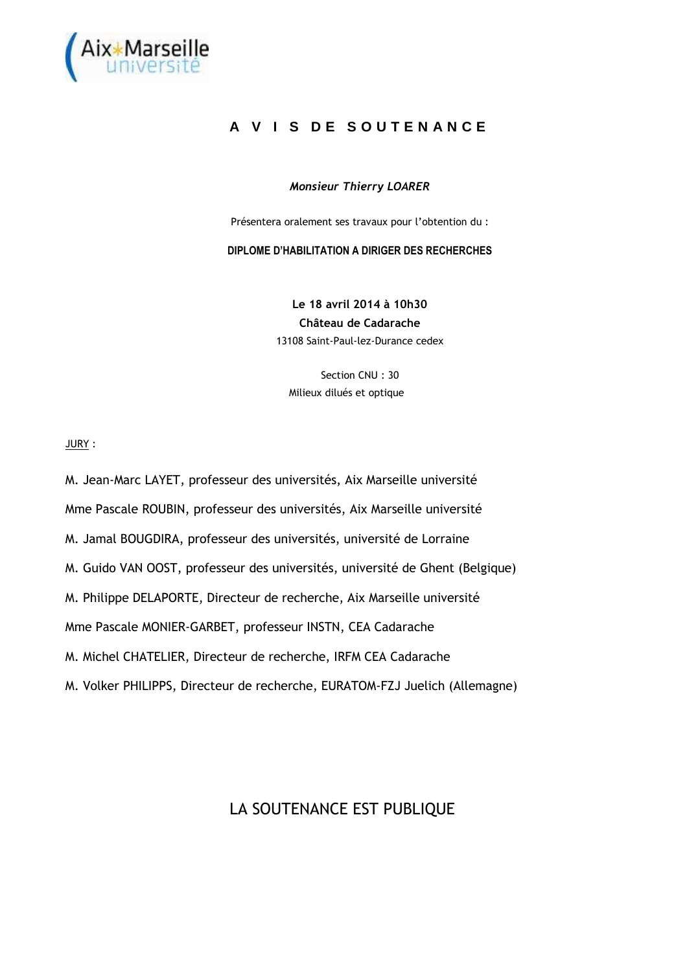

## **A V I S D E S O U T E N A N C E**

## *Monsieur Thierry LOARER*

Présentera oralement ses travaux pour l'obtention du :

**DIPLOME D'HABILITATION A DIRIGER DES RECHERCHES** 

**Le 18 avril 2014 à 10h30 Château de Cadarache**  13108 Saint-Paul-lez-Durance cedex

Section CNU : 30 Milieux dilués et optique

JURY :

M. Jean-Marc LAYET, professeur des universités, Aix Marseille université Mme Pascale ROUBIN, professeur des universités, Aix Marseille université M. Jamal BOUGDIRA, professeur des universités, université de Lorraine M. Guido VAN OOST, professeur des universités, université de Ghent (Belgique) M. Philippe DELAPORTE, Directeur de recherche, Aix Marseille université Mme Pascale MONIER-GARBET, professeur INSTN, CEA Cadarache M. Michel CHATELIER, Directeur de recherche, IRFM CEA Cadarache M. Volker PHILIPPS, Directeur de recherche, EURATOM-FZJ Juelich (Allemagne)

## LA SOUTENANCE EST PUBLIQUE